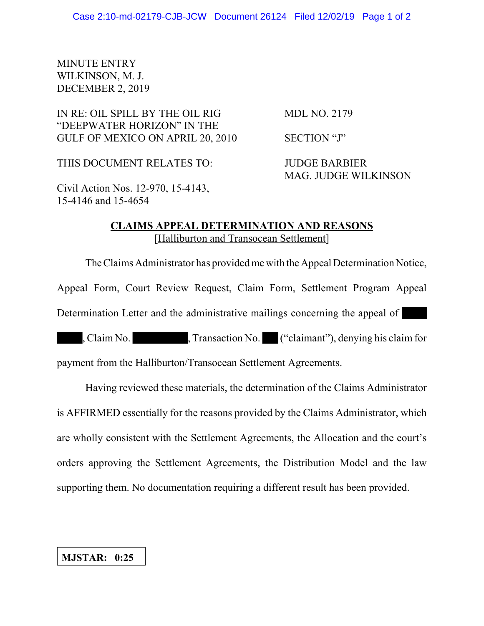## MINUTE ENTRY WILKINSON, M. J. DECEMBER 2, 2019

IN RE: OIL SPILL BY THE OIL RIG MDL NO. 2179 "DEEPWATER HORIZON" IN THE GULF OF MEXICO ON APRIL 20, 2010 SECTION "J"

THIS DOCUMENT RELATES TO: JUDGE BARBIER

MAG. JUDGE WILKINSON

Civil Action Nos. 12-970, 15-4143, 15-4146 and 15-4654

## **CLAIMS APPEAL DETERMINATION AND REASONS** [Halliburton and Transocean Settlement]

The Claims Administrator has provided me with the Appeal Determination Notice,

Appeal Form, Court Review Request, Claim Form, Settlement Program Appeal

Determination Letter and the administrative mailings concerning the appeal of

, Claim No. , Transaction No. ("claimant"), denying his claim for

payment from the Halliburton/Transocean Settlement Agreements.

Having reviewed these materials, the determination of the Claims Administrator is AFFIRMED essentially for the reasons provided by the Claims Administrator, which are wholly consistent with the Settlement Agreements, the Allocation and the court's orders approving the Settlement Agreements, the Distribution Model and the law supporting them. No documentation requiring a different result has been provided.

## **MJSTAR: 0:25**